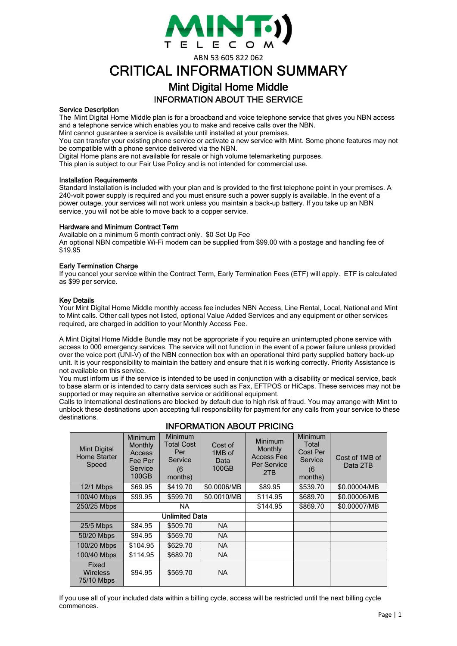

ABN 53 605 822 062

# CRITICAL INFORMATION SUMMARY

## Mint Digital Home Middle INFORMATION ABOUT THE SERVICE

#### Service Description

The Mint Digital Home Middle plan is for a broadband and voice telephone service that gives you NBN access and a telephone service which enables you to make and receive calls over the NBN.

Mint cannot guarantee a service is available until installed at your premises.

You can transfer your existing phone service or activate a new service with Mint. Some phone features may not be compatible with a phone service delivered via the NBN.

Digital Home plans are not available for resale or high volume telemarketing purposes.

This plan is subject to our Fair Use Policy and is not intended for commercial use.

#### Installation Requirements

Standard Installation is included with your plan and is provided to the first telephone point in your premises. A 240-volt power supply is required and you must ensure such a power supply is available. In the event of a power outage, your services will not work unless you maintain a back-up battery. If you take up an NBN service, you will not be able to move back to a copper service.

#### Hardware and Minimum Contract Term

Available on a minimum 6 month contract only. \$0 Set Up Fee An optional NBN compatible Wi-Fi modem can be supplied from \$99.00 with a postage and handling fee of \$19.95

#### Early Termination Charge

If you cancel your service within the Contract Term, Early Termination Fees (ETF) will apply. ETF is calculated as \$99 per service.

#### Key Details

Your Mint Digital Home Middle monthly access fee includes NBN Access, Line Rental, Local, National and Mint to Mint calls. Other call types not listed, optional Value Added Services and any equipment or other services required, are charged in addition to your Monthly Access Fee.

A Mint Digital Home Middle Bundle may not be appropriate if you require an uninterrupted phone service with access to 000 emergency services. The service will not function in the event of a power failure unless provided over the voice port (UNI-V) of the NBN connection box with an operational third party supplied battery back-up unit. It is your responsibility to maintain the battery and ensure that it is working correctly. Priority Assistance is not available on this service.

You must inform us if the service is intended to be used in conjunction with a disability or medical service, back to base alarm or is intended to carry data services such as Fax, EFTPOS or HiCaps. These services may not be supported or may require an alternative service or additional equipment.

Calls to International destinations are blocked by default due to high risk of fraud. You may arrange with Mint to unblock these destinations upon accepting full responsibility for payment for any calls from your service to these destinations.

| <b>Mint Digital</b><br>Home Starter<br>Speed | <b>Minimum</b><br>Monthly<br>Access<br>Fee Per<br>Service<br>100GB | <b>Minimum</b><br><b>Total Cost</b><br>Per<br>Service<br>(6<br>months) | Cost of<br>1MB of<br>Data<br>100GB | Minimum<br>Monthly<br><b>Access Fee</b><br>Per Service<br>2TB | <b>Minimum</b><br>Total<br>Cost Per<br>Service<br>(6)<br>months) | Cost of 1MB of<br>Data 2TB |
|----------------------------------------------|--------------------------------------------------------------------|------------------------------------------------------------------------|------------------------------------|---------------------------------------------------------------|------------------------------------------------------------------|----------------------------|
| $12/1$ Mbps                                  | \$69.95                                                            | \$419.70                                                               | \$0.0006/MB                        | \$89.95                                                       | \$539.70                                                         | \$0.00004/MB               |
| 100/40 Mbps                                  | \$99.95                                                            | \$599.70                                                               | \$0.0010/MB                        | \$114.95                                                      | \$689.70                                                         | \$0.00006/MB               |
| 250/25 Mbps                                  | <b>NA</b>                                                          |                                                                        |                                    | \$144.95                                                      | \$869.70                                                         | \$0.00007/MB               |
|                                              | <b>Unlimited Data</b>                                              |                                                                        |                                    |                                                               |                                                                  |                            |
| $25/5$ Mbps                                  | \$84.95                                                            | \$509.70                                                               | NA.                                |                                                               |                                                                  |                            |
| 50/20 Mbps                                   | \$94.95                                                            | \$569.70                                                               | <b>NA</b>                          |                                                               |                                                                  |                            |
| 100/20 Mbps                                  | \$104.95                                                           | \$629.70                                                               | <b>NA</b>                          |                                                               |                                                                  |                            |
| 100/40 Mbps                                  | \$114.95                                                           | \$689.70                                                               | <b>NA</b>                          |                                                               |                                                                  |                            |
| Fixed<br><b>Wireless</b><br>75/10 Mbps       | \$94.95                                                            | \$569.70                                                               | <b>NA</b>                          |                                                               |                                                                  |                            |

## INFORMATION ABOUT PRICING

If you use all of your included data within a billing cycle, access will be restricted until the next billing cycle commences.